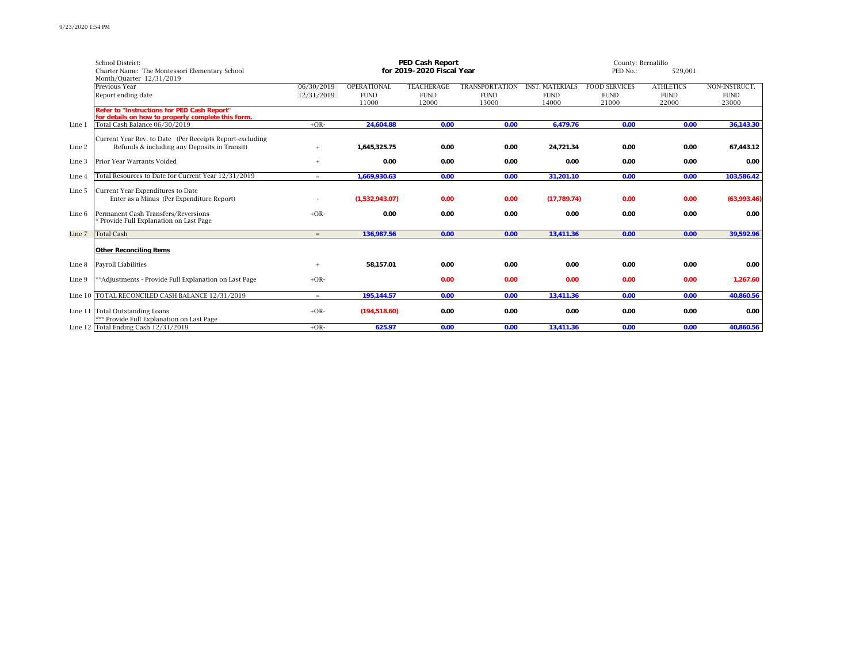|        | <b>School District:</b>                                                                                  | <b>PED Cash Report</b>   |                                            |                                           |                                               |                                                |                                              | County: Bernalillo                       |                                       |  |
|--------|----------------------------------------------------------------------------------------------------------|--------------------------|--------------------------------------------|-------------------------------------------|-----------------------------------------------|------------------------------------------------|----------------------------------------------|------------------------------------------|---------------------------------------|--|
|        | Charter Name: The Montessori Elementary School                                                           |                          |                                            | for 2019-2020 Fiscal Year                 |                                               |                                                | PED No.:                                     |                                          |                                       |  |
|        | Month/Quarter 12/31/2019<br>Previous Year<br>Report ending date                                          | 06/30/2019<br>12/31/2019 | <b>OPERATIONAL</b><br><b>FUND</b><br>11000 | <b>TEACHERAGE</b><br><b>FUND</b><br>12000 | <b>TRANSPORTATION</b><br><b>FUND</b><br>13000 | <b>INST. MATERIALS</b><br><b>FUND</b><br>14000 | <b>FOOD SERVICES</b><br><b>FUND</b><br>21000 | <b>ATHLETICS</b><br><b>FUND</b><br>22000 | NON-INSTRUCT.<br><b>FUND</b><br>23000 |  |
|        | Refer to "Instructions for PED Cash Report"                                                              |                          |                                            |                                           |                                               |                                                |                                              |                                          |                                       |  |
| Line 1 | for details on how to properly complete this form.<br>Total Cash Balance 06/30/2019                      | $+OR-$                   | 24,604.88                                  | 0.00                                      | 0.00                                          | 6,479.76                                       | 0.00                                         | 0.00                                     | 36,143.30                             |  |
| Line 2 | Current Year Rev. to Date (Per Receipts Report-excluding<br>Refunds & including any Deposits in Transit) | $+$                      | 1,645,325.75                               | 0.00                                      | 0.00                                          | 24,721.34                                      | 0.00                                         | 0.00                                     | 67,443.12                             |  |
| Line 3 | Prior Year Warrants Voided                                                                               | $+$                      | 0.00                                       | 0.00                                      | 0.00                                          | 0.00                                           | 0.00                                         | 0.00                                     | 0.00                                  |  |
| Line 4 | Total Resources to Date for Current Year 12/31/2019                                                      | $=$                      | 1,669,930.63                               | 0.00                                      | 0.00                                          | 31,201.10                                      | 0.00                                         | 0.00                                     | 103,586.42                            |  |
| Line 5 | Current Year Expenditures to Date<br>Enter as a Minus (Per Expenditure Report)                           |                          | (1,532,943.07)                             | 0.00                                      | 0.00                                          | (17, 789.74)                                   | 0.00                                         | 0.00                                     | (63,993.46)                           |  |
| Line 6 | Permanent Cash Transfers/Reversions<br>Provide Full Explanation on Last Page                             | $+OR-$                   | 0.00                                       | 0.00                                      | 0.00                                          | 0.00                                           | 0.00                                         | 0.00                                     | 0.00                                  |  |
| Line 7 | <b>Total Cash</b>                                                                                        | $=$                      | 136,987.56                                 | 0.00                                      | 0.00                                          | 13,411.36                                      | 0.00                                         | 0.00                                     | 39,592.96                             |  |
|        | Other Reconciling Items                                                                                  |                          |                                            |                                           |                                               |                                                |                                              |                                          |                                       |  |
| Line 8 | Payroll Liabilities                                                                                      | $+$                      | 58,157.01                                  | 0.00                                      | 0.00                                          | 0.00                                           | 0.00                                         | 0.00                                     | 0.00                                  |  |
| Line 9 | **Adjustments - Provide Full Explanation on Last Page                                                    | $+OR-$                   |                                            | 0.00                                      | 0.00                                          | 0.00                                           | 0.00                                         | 0.00                                     | 1,267.60                              |  |
|        | Line 10  TOTAL RECONCILED CASH BALANCE 12/31/2019                                                        | $=$                      | 195,144.57                                 | 0.00                                      | 0.00                                          | 13,411.36                                      | 0.00                                         | 0.00                                     | 40,860.56                             |  |
|        | Line 11   Total Outstanding Loans<br>*** Provide Full Explanation on Last Page                           | $+OR-$                   | (194, 518.60)                              | 0.00                                      | 0.00                                          | 0.00                                           | 0.00                                         | 0.00                                     | 0.00                                  |  |
|        | Line 12 Total Ending Cash $12/31/2019$                                                                   | $+OR-$                   | 625.97                                     | 0.00                                      | 0.00                                          | 13,411.36                                      | 0.00                                         | 0.00                                     | 40,860.56                             |  |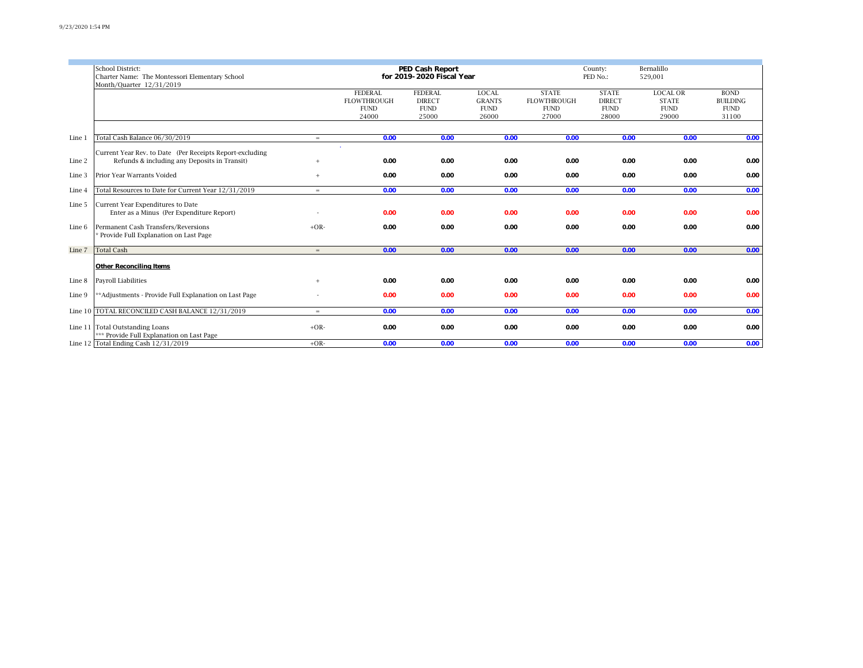|        | School District:<br>Charter Name: The Montessori Elementary School<br>Month/Quarter 12/31/2019           |        | PED Cash Report<br>for 2019-2020 Fiscal Year                 |                                                         |                                                                        |                                                            |                                                       |                                                         |                                                        |
|--------|----------------------------------------------------------------------------------------------------------|--------|--------------------------------------------------------------|---------------------------------------------------------|------------------------------------------------------------------------|------------------------------------------------------------|-------------------------------------------------------|---------------------------------------------------------|--------------------------------------------------------|
|        |                                                                                                          |        | <b>FEDERAL</b><br><b>FLOWTHROUGH</b><br><b>FUND</b><br>24000 | <b>FEDERAL</b><br><b>DIRECT</b><br><b>FUND</b><br>25000 | <b>LOCAL</b><br><b>GRANTS</b><br>$\ensuremath{\mathrm{FUND}}$<br>26000 | <b>STATE</b><br><b>FLOWTHROUGH</b><br><b>FUND</b><br>27000 | <b>STATE</b><br><b>DIRECT</b><br><b>FUND</b><br>28000 | <b>LOCAL OR</b><br><b>STATE</b><br><b>FUND</b><br>29000 | <b>BOND</b><br><b>BUILDING</b><br><b>FUND</b><br>31100 |
| Line 1 | Total Cash Balance 06/30/2019                                                                            | $=$    | 0.00                                                         | 0.00                                                    | 0.00                                                                   | 0.00                                                       | 0.00                                                  | 0.00                                                    | 0.00                                                   |
| Line 2 | Current Year Rev. to Date (Per Receipts Report-excluding<br>Refunds & including any Deposits in Transit) |        | 0.00                                                         | 0.00                                                    | 0.00                                                                   | 0.00                                                       | 0.00                                                  | 0.00                                                    | 0.00                                                   |
| Line 3 | Prior Year Warrants Voided                                                                               | $+$    | 0.00                                                         | 0.00                                                    | 0.00                                                                   | 0.00                                                       | 0.00                                                  | 0.00                                                    | 0.00                                                   |
| Line 4 | Total Resources to Date for Current Year 12/31/2019                                                      | $=$    | 0.00                                                         | 0.00                                                    | 0.00                                                                   | 0.00                                                       | 0.00                                                  | 0.00                                                    | 0.00                                                   |
| Line 5 | Current Year Expenditures to Date<br>Enter as a Minus (Per Expenditure Report)                           |        | 0.00                                                         | 0.00                                                    | 0.00                                                                   | 0.00                                                       | 0.00                                                  | 0.00                                                    | 0.00                                                   |
| Line 6 | Permanent Cash Transfers/Reversions<br>Provide Full Explanation on Last Page                             | $+OR-$ | 0.00                                                         | 0.00                                                    | 0.00                                                                   | 0.00                                                       | 0.00                                                  | 0.00                                                    | 0.00                                                   |
| Line 7 | <b>Total Cash</b>                                                                                        | $=$    | 0.00                                                         | 0.00                                                    | 0.00                                                                   | 0.00                                                       | 0.00                                                  | 0.00                                                    | 0.00                                                   |
|        | Other Reconciling Items                                                                                  |        |                                                              |                                                         |                                                                        |                                                            |                                                       |                                                         |                                                        |
| Line 8 | Payroll Liabilities                                                                                      | $+$    | 0.00                                                         | 0.00                                                    | 0.00                                                                   | 0.00                                                       | 0.00                                                  | 0.00                                                    | 0.00                                                   |
| Line 9 | **Adjustments - Provide Full Explanation on Last Page                                                    |        | 0.00                                                         | 0.00                                                    | 0.00                                                                   | 0.00                                                       | 0.00                                                  | 0.00                                                    | 0.00                                                   |
|        | Line 10 TOTAL RECONCILED CASH BALANCE 12/31/2019                                                         | $=$    | 0.00                                                         | 0.00                                                    | 0.00                                                                   | 0.00                                                       | 0.00                                                  | 0.00                                                    | 0.00                                                   |
|        | Line 11 Total Outstanding Loans<br>*** Provide Full Explanation on Last Page                             | $+OR-$ | 0.00                                                         | 0.00                                                    | 0.00                                                                   | 0.00                                                       | 0.00                                                  | 0.00                                                    | 0.00                                                   |
|        | Line 12 Total Ending Cash $12/31/2019$                                                                   | $+OR-$ | 0.00                                                         | 0.00                                                    | 0.00                                                                   | 0.00                                                       | 0.00                                                  | 0.00                                                    | 0.00                                                   |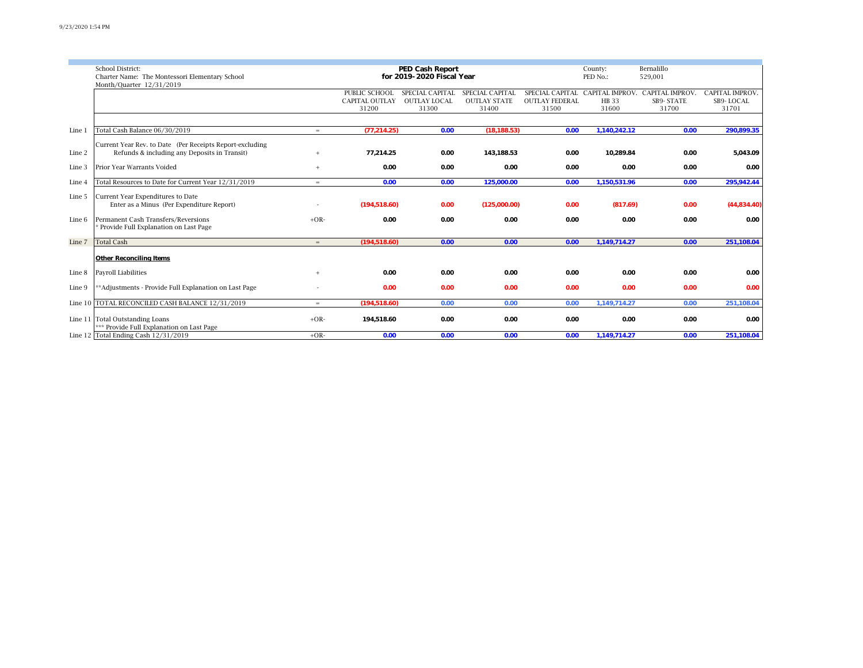|        | <b>School District:</b>                                  |        |                       | PED Cash Report           |                     |                       | County:                         | Bernalillo             |                 |
|--------|----------------------------------------------------------|--------|-----------------------|---------------------------|---------------------|-----------------------|---------------------------------|------------------------|-----------------|
|        | Charter Name: The Montessori Elementary School           |        |                       | for 2019-2020 Fiscal Year |                     |                       | PED No.:                        | 529,001                |                 |
|        | Month/Quarter 12/31/2019                                 |        | PUBLIC SCHOOL         | SPECIAL CAPITAL           | SPECIAL CAPITAL     |                       | SPECIAL CAPITAL CAPITAL IMPROV. | <b>CAPITAL IMPROV.</b> | CAPITAL IMPROV. |
|        |                                                          |        | <b>CAPITAL OUTLAY</b> | <b>OUTLAY LOCAL</b>       | <b>OUTLAY STATE</b> | <b>OUTLAY FEDERAL</b> | <b>HB</b> 33                    | SB9-STATE              | SB9-LOCAL       |
|        |                                                          |        | 31200                 | 31300                     | 31400               | 31500                 | 31600                           | 31700                  | 31701           |
|        |                                                          |        |                       |                           |                     |                       |                                 |                        |                 |
| Line 1 | Total Cash Balance 06/30/2019                            | $=$    | (77, 214.25)          | 0.00                      | (18, 188.53)        | 0.00                  | 1,140,242.12                    | 0.00                   | 290,899.35      |
|        | Current Year Rev. to Date (Per Receipts Report-excluding |        |                       |                           |                     |                       |                                 |                        |                 |
| Line 2 | Refunds & including any Deposits in Transit)             | $+$    | 77,214.25             | 0.00                      | 143,188.53          | 0.00                  | 10,289.84                       | 0.00                   | 5,043.09        |
| Line 3 | Prior Year Warrants Voided                               | $+$    | 0.00                  | 0.00                      | 0.00                | 0.00                  | 0.00                            | 0.00                   | 0.00            |
| Line 4 | Total Resources to Date for Current Year 12/31/2019      | $=$    | 0.00                  | 0.00                      | 125,000.00          | 0.00                  | 1,150,531.96                    | 0.00                   | 295,942.44      |
| Line 5 | <b>Current Year Expenditures to Date</b>                 |        |                       |                           |                     |                       |                                 |                        |                 |
|        | Enter as a Minus (Per Expenditure Report)                |        | (194, 518.60)         | 0.00                      | (125,000.00)        | 0.00                  | (817.69)                        | 0.00                   | (44,834.40)     |
| Line 6 | Permanent Cash Transfers/Reversions                      | $+OR-$ | 0.00                  | 0.00                      | 0.00                | 0.00                  | 0.00                            | 0.00                   | 0.00            |
|        | * Provide Full Explanation on Last Page                  |        |                       |                           |                     |                       |                                 |                        |                 |
| Line 7 | <b>Total Cash</b>                                        | $=$    | (194, 518.60)         | 0.00                      | 0.00                | 0.00                  | 1,149,714.27                    | 0.00                   | 251,108.04      |
|        | Other Reconciling Items                                  |        |                       |                           |                     |                       |                                 |                        |                 |
| Line 8 | Payroll Liabilities                                      | $+$    | 0.00                  | 0.00                      | 0.00                | 0.00                  | 0.00                            | 0.00                   | 0.00            |
| Line 9 | ** Adjustments - Provide Full Explanation on Last Page   |        | 0.00                  | 0.00                      | 0.00                | 0.00                  | 0.00                            | 0.00                   | 0.00            |
|        | Line 10 TOTAL RECONCILED CASH BALANCE 12/31/2019         | $=$    | (194, 518.60)         | 0.00                      | 0.00                | 0.00                  | 1,149,714.27                    | 0.00                   | 251,108.04      |
|        | Line 11 Total Outstanding Loans                          | $+OR-$ | 194,518.60            | 0.00                      | 0.00                | 0.00                  | 0.00                            | 0.00                   | 0.00            |
|        | *** Provide Full Explanation on Last Page                |        |                       |                           |                     |                       |                                 |                        |                 |
|        | Line 12 Total Ending Cash $12/31/2019$                   | $+OR-$ | 0.00                  | 0.00                      | 0.00                | 0.00                  | 1,149,714.27                    | 0.00                   | 251,108.04      |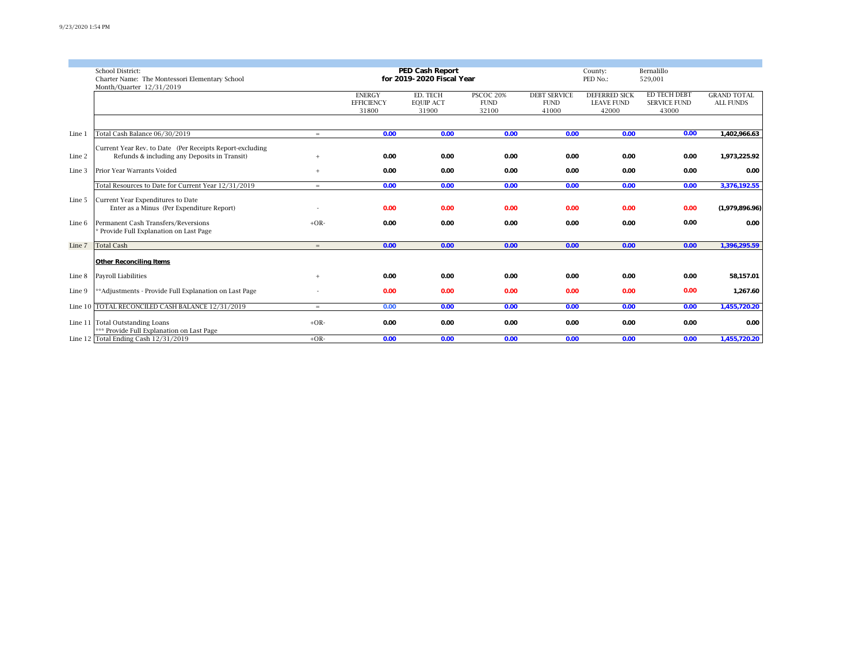|        | School District:                                                           |        |                            | PED Cash Report<br>for 2019-2020 Fiscal Year |                      | County:<br>PED No.:  | Bernalillo<br>529,001      |                              |                    |
|--------|----------------------------------------------------------------------------|--------|----------------------------|----------------------------------------------|----------------------|----------------------|----------------------------|------------------------------|--------------------|
|        | Charter Name: The Montessori Elementary School<br>Month/Quarter 12/31/2019 |        |                            |                                              |                      |                      |                            |                              |                    |
|        |                                                                            |        | <b>ENERGY</b>              | ED. TECH                                     | <b>PSCOC 20%</b>     | <b>DEBT SERVICE</b>  | <b>DEFERRED SICK</b>       | ED TECH DEBT                 | <b>GRAND TOTAL</b> |
|        |                                                                            |        | <b>EFFICIENCY</b><br>31800 | <b>EQUIP ACT</b><br>31900                    | <b>FUND</b><br>32100 | <b>FUND</b><br>41000 | <b>LEAVE FUND</b><br>42000 | <b>SERVICE FUND</b><br>43000 | <b>ALL FUNDS</b>   |
|        |                                                                            |        |                            |                                              |                      |                      |                            |                              |                    |
| Line 1 | Total Cash Balance 06/30/2019                                              | $=$    | 0.00                       | 0.00                                         | 0.00                 | 0.00                 | 0.00                       | 0.00                         | 1,402,966.63       |
|        | Current Year Rev. to Date (Per Receipts Report-excluding                   |        |                            |                                              |                      |                      |                            |                              |                    |
| Line 2 | Refunds & including any Deposits in Transit)                               | $+$    | 0.00                       | 0.00                                         | 0.00                 | 0.00                 | 0.00                       | 0.00                         | 1,973,225.92       |
| Line 3 | <b>Prior Year Warrants Voided</b>                                          | $+$    | 0.00                       | 0.00                                         | 0.00                 | 0.00                 | 0.00                       | 0.00                         | 0.00               |
|        | Total Resources to Date for Current Year 12/31/2019                        | $=$    | 0.00                       | 0.00                                         | 0.00                 | 0.00                 | 0.00                       | 0.00                         | 3,376,192.55       |
| Line 5 | Current Year Expenditures to Date                                          |        |                            |                                              |                      |                      |                            |                              |                    |
|        | Enter as a Minus (Per Expenditure Report)                                  |        | 0.00                       | 0.00                                         | 0.00                 | 0.00                 | 0.00                       | 0.00                         | (1,979,896.96)     |
| Line 6 | Permanent Cash Transfers/Reversions                                        | $+OR-$ | 0.00                       | 0.00                                         | 0.00                 | 0.00                 | 0.00                       | 0.00                         | 0.00               |
|        | Provide Full Explanation on Last Page                                      |        |                            |                                              |                      |                      |                            |                              |                    |
| Line 7 | <b>Total Cash</b>                                                          | $=$    | 0.00                       | 0.00                                         | 0.00                 | 0.00                 | 0.00                       | 0.00                         | 1,396,295.59       |
|        | Other Reconciling Items                                                    |        |                            |                                              |                      |                      |                            |                              |                    |
| Line 8 | Payroll Liabilities                                                        | $+$    | 0.00                       | 0.00                                         | 0.00                 | 0.00                 | 0.00                       | 0.00                         | 58,157.01          |
| Line 9 | **Adjustments - Provide Full Explanation on Last Page                      |        | 0.00                       | 0.00                                         | 0.00                 | 0.00                 | 0.00                       | 0.00                         | 1,267.60           |
|        | Line 10 TOTAL RECONCILED CASH BALANCE 12/31/2019                           | $=$    | 0.00                       | 0.00                                         | 0.00                 | 0.00                 | 0.00                       | 0.00                         | 1,455,720.20       |
|        | Line 11 Total Outstanding Loans                                            | $+OR-$ | 0.00                       | 0.00                                         | 0.00                 | 0.00                 | 0.00                       | 0.00                         | 0.00               |
|        | *** Provide Full Explanation on Last Page                                  |        |                            |                                              |                      |                      |                            |                              |                    |
|        | Line 12 Total Ending Cash $12/31/2019$                                     | $+OR-$ | 0.00                       | 0.00                                         | 0.00                 | 0.00                 | 0.00                       | 0.00                         | 1,455,720.20       |